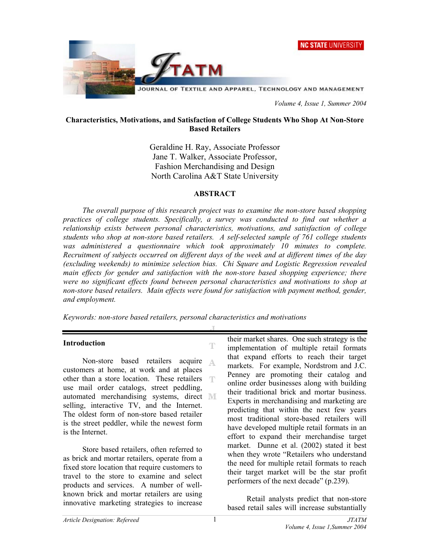



 *Volume 4, Issue 1, Summer 2004* 

#### **Characteristics, Motivations, and Satisfaction of College Students Who Shop At Non-Store Based Retailers**

Geraldine H. Ray, Associate Professor Jane T. Walker, Associate Professor, Fashion Merchandising and Design North Carolina A&T State University

#### **ABSTRACT**

*The overall purpose of this research project was to examine the non-store based shopping practices of college students. Specifically, a survey was conducted to find out whether a relationship exists between personal characteristics, motivations, and satisfaction of college students who shop at non-store based retailers. A self-selected sample of 761 college students*  was administered a questionnaire which took approximately 10 minutes to complete. *Recruitment of subjects occurred on different days of the week and at different times of the day (excluding weekends) to minimize selection bias. Chi Square and Logistic Regression revealed main effects for gender and satisfaction with the non-store based shopping experience; there were no significant effects found between personal characteristics and motivations to shop at non-store based retailers. Main effects were found for satisfaction with payment method, gender, and employment.* 

T

*Keywords: non-store based retailers, personal characteristics and motivations* 

#### **Introduction**

Non-store based retailers acquire customers at home, at work and at places other than a store location. These retailers T use mail order catalogs, street peddling, automated merchandising systems, direct selling, interactive TV, and the Internet. The oldest form of non-store based retailer is the street peddler, while the newest form is the Internet.

 Store based retailers, often referred to as brick and mortar retailers, operate from a fixed store location that require customers to travel to the store to examine and select products and services. A number of wellknown brick and mortar retailers are using innovative marketing strategies to increase

their market shares. One such strategy is the implementation of multiple retail formats that expand efforts to reach their target markets. For example, Nordstrom and J.C. Penney are promoting their catalog and online order businesses along with building their traditional brick and mortar business. Experts in merchandising and marketing are predicting that within the next few years most traditional store-based retailers will have developed multiple retail formats in an effort to expand their merchandise target market. Dunne et al. (2002) stated it best when they wrote "Retailers who understand the need for multiple retail formats to reach their target market will be the star profit performers of the next decade" (p.239).

 Retail analysts predict that non-store based retail sales will increase substantially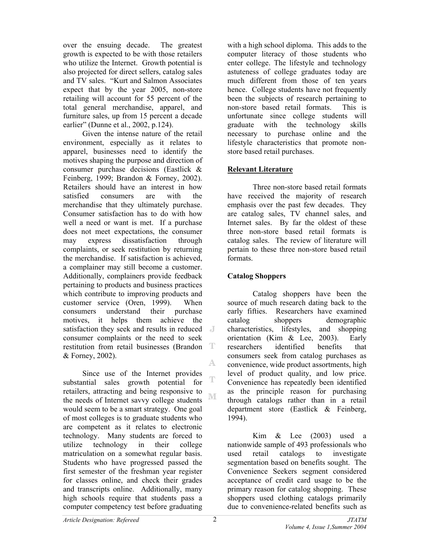over the ensuing decade. The greatest growth is expected to be with those retailers who utilize the Internet. Growth potential is also projected for direct sellers, catalog sales and TV sales. "Kurt and Salmon Associates expect that by the year 2005, non-store retailing will account for 55 percent of the total general merchandise, apparel, and furniture sales, up from 15 percent a decade earlier" (Dunne et al., 2002, p.124).

 Given the intense nature of the retail environment, especially as it relates to apparel, businesses need to identify the motives shaping the purpose and direction of consumer purchase decisions (Eastlick & Feinberg, 1999; Brandon & Forney, 2002). Retailers should have an interest in how satisfied consumers are with the merchandise that they ultimately purchase. Consumer satisfaction has to do with how well a need or want is met. If a purchase does not meet expectations, the consumer may express dissatisfaction through complaints, or seek restitution by returning the merchandise. If satisfaction is achieved, a complainer may still become a customer. Additionally, complainers provide feedback pertaining to products and business practices which contribute to improving products and customer service (Oren, 1999). When consumers understand their purchase motives, it helps them achieve the satisfaction they seek and results in reduced  $\blacksquare$ consumer complaints or the need to seek restitution from retail businesses (Brandon T & Forney, 2002). A.

 Since use of the Internet provides T substantial sales growth potential for retailers, attracting and being responsive to ΝE the needs of Internet savvy college students would seem to be a smart strategy. One goal of most colleges is to graduate students who are competent as it relates to electronic technology. Many students are forced to utilize technology in their college matriculation on a somewhat regular basis. Students who have progressed passed the first semester of the freshman year register for classes online, and check their grades and transcripts online. Additionally, many high schools require that students pass a computer competency test before graduating

with a high school diploma. This adds to the computer literacy of those students who enter college. The lifestyle and technology astuteness of college graduates today are much different from those of ten years hence. College students have not frequently been the subjects of research pertaining to non-store based retail formats. This is unfortunate since college students will graduate with the technology skills necessary to purchase online and the lifestyle characteristics that promote nonstore based retail purchases.

### **Relevant Literature**

Three non-store based retail formats have received the majority of research emphasis over the past few decades. They are catalog sales, TV channel sales, and Internet sales. By far the oldest of these three non-store based retail formats is catalog sales. The review of literature will pertain to these three non-store based retail formats.

# **Catalog Shoppers**

Catalog shoppers have been the source of much research dating back to the early fifties. Researchers have examined catalog shoppers demographic characteristics, lifestyles, and shopping orientation (Kim & Lee, 2003). Early researchers identified benefits that consumers seek from catalog purchases as convenience, wide product assortments, high level of product quality, and low price. Convenience has repeatedly been identified as the principle reason for purchasing through catalogs rather than in a retail department store (Eastlick & Feinberg, 1994).

Kim & Lee (2003) used a nationwide sample of 493 professionals who used retail catalogs to investigate segmentation based on benefits sought. The Convenience Seekers segment considered acceptance of credit card usage to be the primary reason for catalog shopping. These shoppers used clothing catalogs primarily due to convenience-related benefits such as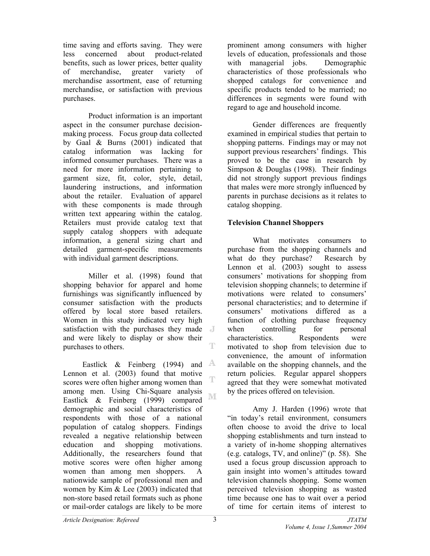time saving and efforts saving. They were less concerned about product-related benefits, such as lower prices, better quality of merchandise, greater variety of merchandise assortment, ease of returning merchandise, or satisfaction with previous purchases.

Product information is an important aspect in the consumer purchase decisionmaking process. Focus group data collected by Gaal & Burns (2001) indicated that catalog information was lacking for informed consumer purchases. There was a need for more information pertaining to garment size, fit, color, style, detail, laundering instructions, and information about the retailer. Evaluation of apparel with these components is made through written text appearing within the catalog. Retailers must provide catalog text that supply catalog shoppers with adequate information, a general sizing chart and detailed garment-specific measurements with individual garment descriptions.

Miller et al. (1998) found that shopping behavior for apparel and home furnishings was significantly influenced by consumer satisfaction with the products offered by local store based retailers. Women in this study indicated very high satisfaction with the purchases they made and were likely to display or show their T purchases to others.

Eastlick & Feinberg (1994) and  $\mathbb{A}$ Lennon et al. (2003) found that motive T scores were often higher among women than among men. Using Chi-Square analysis M Eastlick & Feinberg (1999) compared demographic and social characteristics of respondents with those of a national population of catalog shoppers. Findings revealed a negative relationship between education and shopping motivations. Additionally, the researchers found that motive scores were often higher among women than among men shoppers. A nationwide sample of professional men and women by Kim & Lee (2003) indicated that non-store based retail formats such as phone or mail-order catalogs are likely to be more

prominent among consumers with higher levels of education, professionals and those with managerial jobs. Demographic characteristics of those professionals who shopped catalogs for convenience and specific products tended to be married; no differences in segments were found with regard to age and household income.

Gender differences are frequently examined in empirical studies that pertain to shopping patterns. Findings may or may not support previous researchers' findings. This proved to be the case in research by Simpson & Douglas (1998). Their findings did not strongly support previous findings that males were more strongly influenced by parents in purchase decisions as it relates to catalog shopping.

# **Television Channel Shoppers**

What motivates consumers to purchase from the shopping channels and what do they purchase? Research by Lennon et al. (2003) sought to assess consumers' motivations for shopping from television shopping channels; to determine if motivations were related to consumers' personal characteristics; and to determine if consumers' motivations differed as a function of clothing purchase frequency when controlling for personal characteristics. Respondents were motivated to shop from television due to convenience, the amount of information available on the shopping channels, and the return policies. Regular apparel shoppers agreed that they were somewhat motivated by the prices offered on television.

Amy J. Harden (1996) wrote that "in today's retail environment, consumers often choose to avoid the drive to local shopping establishments and turn instead to a variety of in-home shopping alternatives (e.g. catalogs, TV, and online)" (p. 58). She used a focus group discussion approach to gain insight into women's attitudes toward television channels shopping. Some women perceived television shopping as wasted time because one has to wait over a period of time for certain items of interest to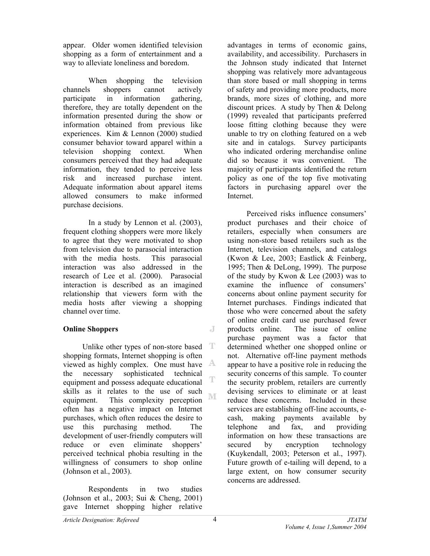appear. Older women identified television shopping as a form of entertainment and a way to alleviate loneliness and boredom.

When shopping the television channels shoppers cannot actively participate in information gathering, therefore, they are totally dependent on the information presented during the show or information obtained from previous like experiences. Kim & Lennon (2000) studied consumer behavior toward apparel within a television shopping context. When consumers perceived that they had adequate information, they tended to perceive less risk and increased purchase intent. Adequate information about apparel items allowed consumers to make informed purchase decisions.

In a study by Lennon et al. (2003), frequent clothing shoppers were more likely to agree that they were motivated to shop from television due to parasocial interaction with the media hosts. This parasocial interaction was also addressed in the research of Lee et al. (2000). Parasocial interaction is described as an imagined relationship that viewers form with the media hosts after viewing a shopping channel over time.

### **Online Shoppers**

T Unlike other types of non-store based shopping formats, Internet shopping is often viewed as highly complex. One must have the necessary sophisticated technical T equipment and possess adequate educational skills as it relates to the use of such M equipment. This complexity perception often has a negative impact on Internet purchases, which often reduces the desire to use this purchasing method. The development of user-friendly computers will reduce or even eliminate shoppers' perceived technical phobia resulting in the willingness of consumers to shop online (Johnson et al., 2003).

Respondents in two studies (Johnson et al., 2003; Sui & Cheng, 2001) gave Internet shopping higher relative

advantages in terms of economic gains, availability, and accessibility. Purchasers in the Johnson study indicated that Internet shopping was relatively more advantageous than store based or mall shopping in terms of safety and providing more products, more brands, more sizes of clothing, and more discount prices. A study by Then & Delong (1999) revealed that participants preferred loose fitting clothing because they were unable to try on clothing featured on a web site and in catalogs. Survey participants who indicated ordering merchandise online did so because it was convenient. The majority of participants identified the return policy as one of the top five motivating factors in purchasing apparel over the Internet.

 Perceived risks influence consumers' product purchases and their choice of retailers, especially when consumers are using non-store based retailers such as the Internet, television channels, and catalogs (Kwon & Lee, 2003; Eastlick & Feinberg, 1995; Then & DeLong, 1999). The purpose of the study by Kwon & Lee (2003) was to examine the influence of consumers' concerns about online payment security for Internet purchases. Findings indicated that those who were concerned about the safety of online credit card use purchased fewer products online. The issue of online purchase payment was a factor that determined whether one shopped online or not. Alternative off-line payment methods appear to have a positive role in reducing the security concerns of this sample. To counter the security problem, retailers are currently devising services to eliminate or at least reduce these concerns. Included in these services are establishing off-line accounts, ecash, making payments available by telephone and fax, and providing information on how these transactions are secured by encryption technology (Kuykendall, 2003; Peterson et al., 1997). Future growth of e-tailing will depend, to a large extent, on how consumer security concerns are addressed.

J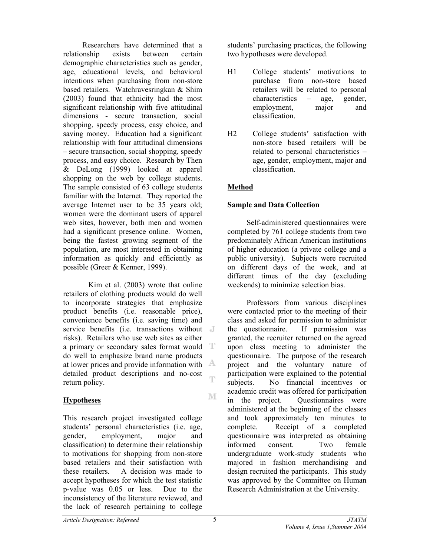Researchers have determined that a relationship exists between certain demographic characteristics such as gender, age, educational levels, and behavioral intentions when purchasing from non-store based retailers. Watchravesringkan & Shim (2003) found that ethnicity had the most significant relationship with five attitudinal dimensions - secure transaction, social shopping, speedy process, easy choice, and saving money. Education had a significant relationship with four attitudinal dimensions – secure transaction, social shopping, speedy process, and easy choice. Research by Then & DeLong (1999) looked at apparel shopping on the web by college students. The sample consisted of 63 college students familiar with the Internet. They reported the average Internet user to be 35 years old; women were the dominant users of apparel web sites, however, both men and women had a significant presence online. Women, being the fastest growing segment of the population, are most interested in obtaining information as quickly and efficiently as possible (Greer & Kenner, 1999).

Kim et al. (2003) wrote that online retailers of clothing products would do well to incorporate strategies that emphasize product benefits (i.e. reasonable price), convenience benefits (i.e. saving time) and service benefits (i.e. transactions without J risks). Retailers who use web sites as either a primary or secondary sales format would T do well to emphasize brand name products at lower prices and provide information with  $\mathbb{A}$ detailed product descriptions and no-cost Ŧ return policy.

# **Hypotheses**

This research project investigated college students' personal characteristics (i.e. age, gender, employment, major and classification) to determine their relationship to motivations for shopping from non-store based retailers and their satisfaction with these retailers. A decision was made to accept hypotheses for which the test statistic p-value was 0.05 or less. Due to the inconsistency of the literature reviewed, and the lack of research pertaining to college

students' purchasing practices, the following two hypotheses were developed.

- H1 College students' motivations to purchase from non-store based retailers will be related to personal characteristics – age, gender, employment, major and classification.
- H2 College students' satisfaction with non-store based retailers will be related to personal characteristics – age, gender, employment, major and classification.

# **Method**

# **Sample and Data Collection**

 Self-administered questionnaires were completed by 761 college students from two predominately African American institutions of higher education (a private college and a public university). Subjects were recruited on different days of the week, and at different times of the day (excluding weekends) to minimize selection bias.

 Professors from various disciplines were contacted prior to the meeting of their class and asked for permission to administer the questionnaire. If permission was granted, the recruiter returned on the agreed upon class meeting to administer the questionnaire. The purpose of the research project and the voluntary nature of participation were explained to the potential subjects. No financial incentives or academic credit was offered for participation in the project. Questionnaires were administered at the beginning of the classes and took approximately ten minutes to complete. Receipt of a completed questionnaire was interpreted as obtaining informed consent. Two female undergraduate work-study students who majored in fashion merchandising and design recruited the participants. This study was approved by the Committee on Human Research Administration at the University.

M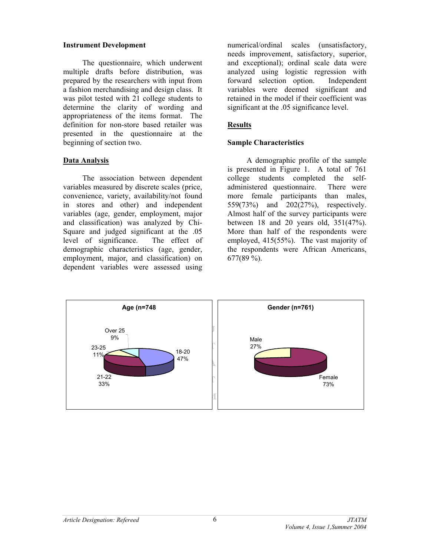#### **Instrument Development**

 The questionnaire, which underwent multiple drafts before distribution, was prepared by the researchers with input from a fashion merchandising and design class. It was pilot tested with 21 college students to determine the clarity of wording and appropriateness of the items format. The definition for non-store based retailer was presented in the questionnaire at the beginning of section two.

# **Data Analysis**

The association between dependent variables measured by discrete scales (price, convenience, variety, availability/not found in stores and other) and independent variables (age, gender, employment, major and classification) was analyzed by Chi-Square and judged significant at the .05 level of significance. The effect of demographic characteristics (age, gender, employment, major, and classification) on dependent variables were assessed using

numerical/ordinal scales (unsatisfactory, needs improvement, satisfactory, superior, and exceptional); ordinal scale data were analyzed using logistic regression with forward selection option. Independent variables were deemed significant and retained in the model if their coefficient was significant at the .05 significance level.

## **Results**

# **Sample Characteristics**

 A demographic profile of the sample is presented in Figure 1. A total of 761 college students completed the selfadministered questionnaire. There were more female participants than males, 559(73%) and 202(27%), respectively. Almost half of the survey participants were between 18 and 20 years old, 351(47%). More than half of the respondents were employed, 415(55%). The vast majority of the respondents were African Americans, 677(89 %).

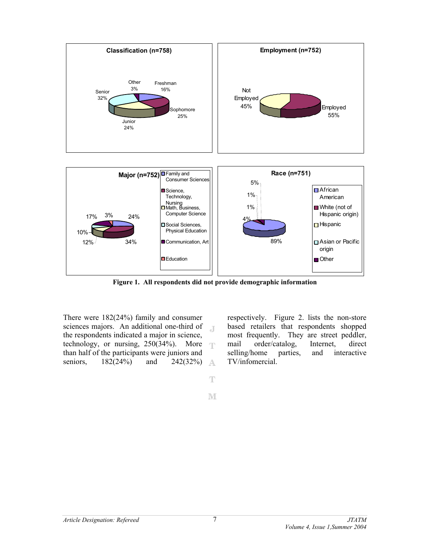

**Figure 1. All respondents did not provide demographic information** 

There were 182(24%) family and consumer sciences majors. An additional one-third of  $\sqrt{1}$ the respondents indicated a major in science, technology, or nursing,  $250(34%)$ . More than half of the participants were juniors and seniors, 182(24%) and 242(32%) A

respectively. Figure 2. lists the non-store based retailers that respondents shopped most frequently. They are street peddler, mail order/catalog, Internet, direct selling/home parties, and interactive TV/infomercial.

M

 $\mathbb T$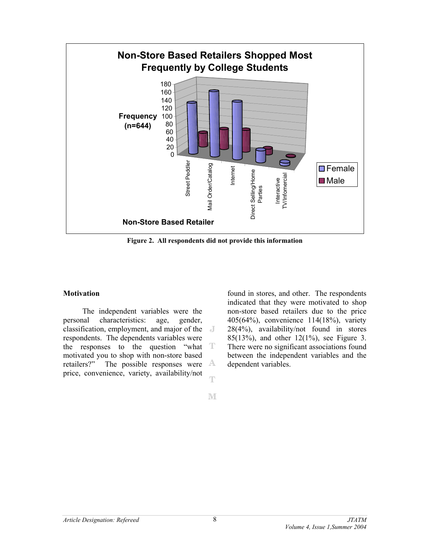

**Figure 2. All respondents did not provide this information** 

#### **Motivation**

 The independent variables were the personal characteristics: age, gender, classification, employment, and major of the respondents. The dependents variables were the responses to the question "what motivated you to shop with non-store based retailers?" The possible responses were A price, convenience, variety, availability/not T

found in stores, and other. The respondents indicated that they were motivated to shop non-store based retailers due to the price 405(64%), convenience 114(18%), variety 28(4%), availability/not found in stores 85(13%), and other 12(1%), see Figure 3. There were no significant associations found between the independent variables and the dependent variables.

M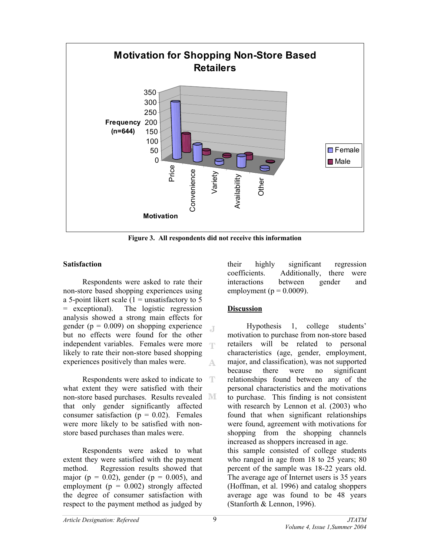

**Figure 3. All respondents did not receive this information** 

Л.

### **Satisfaction**

 Respondents were asked to rate their non-store based shopping experiences using a 5-point likert scale  $(1 =$  unsatisfactory to 5 = exceptional). The logistic regression analysis showed a strong main effects for gender ( $p = 0.009$ ) on shopping experience but no effects were found for the other independent variables. Females were more likely to rate their non-store based shopping experiences positively than males were. A

Respondents were asked to indicate to  $\mathbb{T}$ what extent they were satisfied with their non-store based purchases. Results revealed that only gender significantly affected consumer satisfaction ( $p = 0.02$ ). Females were more likely to be satisfied with nonstore based purchases than males were.

 Respondents were asked to what extent they were satisfied with the payment method. Regression results showed that major ( $p = 0.02$ ), gender ( $p = 0.005$ ), and employment ( $p = 0.002$ ) strongly affected the degree of consumer satisfaction with respect to the payment method as judged by

their highly significant regression coefficients. Additionally, there were interactions between gender and employment ( $p = 0.0009$ ).

# **Discussion**

 Hypothesis 1, college students' motivation to purchase from non-store based retailers will be related to personal characteristics (age, gender, employment, major, and classification), was not supported because there were no significant relationships found between any of the personal characteristics and the motivations to purchase. This finding is not consistent with research by Lennon et al. (2003) who found that when significant relationships were found, agreement with motivations for shopping from the shopping channels increased as shoppers increased in age. this sample consisted of college students who ranged in age from 18 to 25 years; 80 percent of the sample was 18-22 years old. The average age of Internet users is 35 years (Hoffman, et al. 1996) and catalog shoppers average age was found to be 48 years (Stanforth & Lennon, 1996).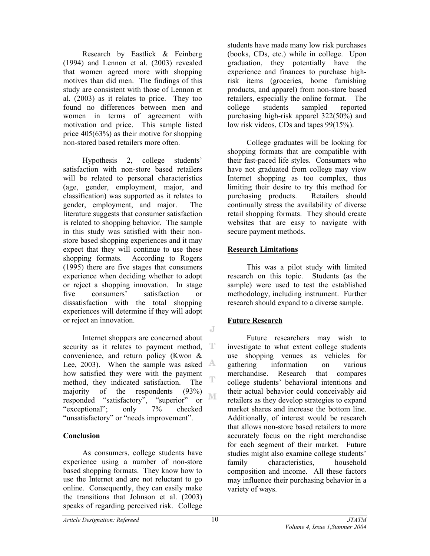Research by Eastlick & Feinberg (1994) and Lennon et al. (2003) revealed that women agreed more with shopping motives than did men. The findings of this study are consistent with those of Lennon et al. (2003) as it relates to price. They too found no differences between men and women in terms of agreement with motivation and price. This sample listed price 405(63%) as their motive for shopping non-stored based retailers more often.

 Hypothesis 2, college students' satisfaction with non-store based retailers will be related to personal characteristics (age, gender, employment, major, and classification) was supported as it relates to gender, employment, and major. The literature suggests that consumer satisfaction is related to shopping behavior. The sample in this study was satisfied with their nonstore based shopping experiences and it may expect that they will continue to use these shopping formats. According to Rogers (1995) there are five stages that consumers experience when deciding whether to adopt or reject a shopping innovation. In stage five consumers' satisfaction or dissatisfaction with the total shopping experiences will determine if they will adopt or reject an innovation.

 Internet shoppers are concerned about T security as it relates to payment method, convenience, and return policy (Kwon & Lee, 2003). When the sample was asked  $\mathbb{A}$ how satisfied they were with the payment T method, they indicated satisfaction. The majority of the respondents (93%)  $\mathbb{M}$ responded "satisfactory", "superior" or "exceptional"; only 7% checked "unsatisfactory" or "needs improvement".

### **Conclusion**

 As consumers, college students have experience using a number of non-store based shopping formats. They know how to use the Internet and are not reluctant to go online. Consequently, they can easily make the transitions that Johnson et al. (2003) speaks of regarding perceived risk. College

students have made many low risk purchases (books, CDs, etc.) while in college. Upon graduation, they potentially have the experience and finances to purchase highrisk items (groceries, home furnishing products, and apparel) from non-store based retailers, especially the online format. The college students sampled reported purchasing high-risk apparel 322(50%) and low risk videos, CDs and tapes 99(15%).

 College graduates will be looking for shopping formats that are compatible with their fast-paced life styles. Consumers who have not graduated from college may view Internet shopping as too complex, thus limiting their desire to try this method for purchasing products. Retailers should continually stress the availability of diverse retail shopping formats. They should create websites that are easy to navigate with secure payment methods.

### **Research Limitations**

 This was a pilot study with limited research on this topic. Students (as the sample) were used to test the established methodology, including instrument. Further research should expand to a diverse sample.

# **Future Research**

 Future researchers may wish to investigate to what extent college students use shopping venues as vehicles for gathering information on various merchandise. Research that compares college students' behavioral intentions and their actual behavior could conceivably aid retailers as they develop strategies to expand market shares and increase the bottom line. Additionally, of interest would be research that allows non-store based retailers to more accurately focus on the right merchandise for each segment of their market. Future studies might also examine college students' family characteristics, household composition and income. All these factors may influence their purchasing behavior in a variety of ways.

J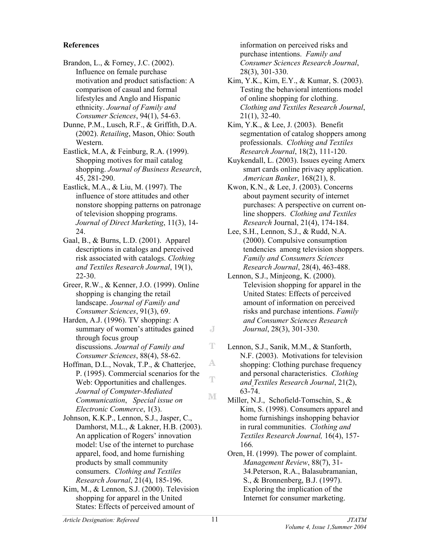#### **References**

Brandon, L., & Forney, J.C. (2002). Influence on female purchase motivation and product satisfaction: A comparison of casual and formal lifestyles and Anglo and Hispanic ethnicity. *Journal of Family and Consumer Sciences*, 94(1), 54-63.

Dunne, P.M., Lusch, R.F., & Griffith, D.A. (2002). *Retailing*, Mason, Ohio: South Western.

Eastlick, M.A, & Feinburg, R.A. (1999). Shopping motives for mail catalog shopping. *Journal of Business Research*, 45, 281-290.

Eastlick, M.A., & Liu, M. (1997). The influence of store attitudes and other nonstore shopping patterns on patronage of television shopping programs. *Journal of Direct Marketing*, 11(3), 14- 24.

Gaal, B., & Burns, L.D. (2001). Apparel descriptions in catalogs and perceived risk associated with catalogs. *Clothing and Textiles Research Journal*, 19(1), 22-30.

Greer, R.W., & Kenner, J.O. (1999). Online shopping is changing the retail landscape. *Journal of Family and Consumer Sciences*, 91(3), 69.

Harden, A.J. (1996). TV shopping: A summary of women's attitudes gained through focus group discussions. *Journal of Family and Consumer Sciences*, 88(4), 58-62.

Hoffman, D.L., Novak, T.P., & Chatterjee, P. (1995). Commercial scenarios for the Web: Opportunities and challenges. *Journal of Computer-Mediated Communication*, *Special issue on Electronic Commerce*, 1(3).

Johnson, K.K.P., Lennon, S.J., Jasper, C., Damhorst, M.L., & Lakner, H.B. (2003). An application of Rogers' innovation model: Use of the internet to purchase apparel, food, and home furnishing products by small community consumers. *Clothing and Textiles Research Journal*, 21(4), 185-196.

Kim, M., & Lennon, S.J. (2000). Television shopping for apparel in the United States: Effects of perceived amount of

information on perceived risks and purchase intentions. *Family and Consumer Sciences Research Journal*, 28(3), 301-330.

Kim, Y.K., Kim, E.Y., & Kumar, S. (2003). Testing the behavioral intentions model of online shopping for clothing. *Clothing and Textiles Research Journal*, 21(1), 32-40.

Kim, Y.K., & Lee, J. (2003). Benefit segmentation of catalog shoppers among professionals. *Clothing and Textiles Research Journal*, 18(2), 111-120.

Kuykendall, L. (2003). Issues eyeing Amerx smart cards online privacy application. *American Banker*, 168(21), 8.

Kwon, K.N., & Lee, J. (2003). Concerns about payment security of internet purchases: A perspective on current online shoppers. *Clothing and Textiles Research* Journal, 21(4), 174-184.

Lee, S.H., Lennon, S.J., & Rudd, N.A. (2000). Compulsive consumption tendencies among television shoppers. *Family and Consumers Sciences Research Journal*, 28(4), 463-488.

Lennon, S.J., Minjeong, K. (2000). Television shopping for apparel in the United States: Effects of perceived amount of information on perceived risks and purchase intentions. *Family and Consumer Sciences Research Journal*, 28(3), 301-330.

Lennon, S.J., Sanik, M.M., & Stanforth, N.F. (2003). Motivations for television shopping: Clothing purchase frequency and personal characteristics. *Clothing and Textiles Research Journal*, 21(2), 63-74.

Miller, N.J., Schofield-Tomschin, S., & Kim, S. (1998). Consumers apparel and home furnishings inshopping behavior in rural communities. *Clothing and Textiles Research Journal,* 16(4), 157- 166*.* 

Oren, H. (1999). The power of complaint. *Management Review*, 88(7), 31- 34.Peterson, R.A., Balasubramanian, S., & Bronnenberg, B.J. (1997). Exploring the implication of the Internet for consumer marketing.

J

T

A.

 $\mathbb T$ 

М